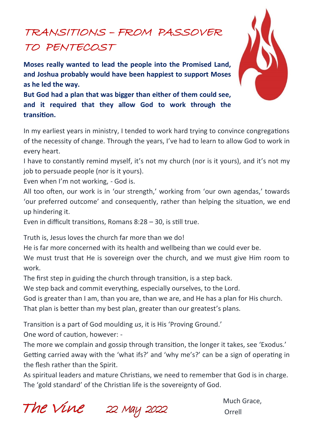# TRANSITIONS – FROM PASSOVER TO PENTECOST

**Moses really wanted to lead the people into the Promised Land, and Joshua probably would have been happiest to support Moses as he led the way.** 

**But God had a plan that was bigger than either of them could see, and it required that they allow God to work through the transition.**

In my earliest years in ministry, I tended to work hard trying to convince congregations of the necessity of change. Through the years, I've had to learn to allow God to work in every heart.

I have to constantly remind myself, it's not my church (nor is it yours), and it's not my job to persuade people (nor is it yours).

Even when I'm not working, - God is.

All too often, our work is in 'our strength,' working from 'our own agendas,' towards 'our preferred outcome' and consequently, rather than helping the situation, we end up hindering it.

Even in difficult transitions, Romans 8:28 – 30, is still true.

Truth is, Jesus loves the church far more than we do!

He is far more concerned with its health and wellbeing than we could ever be.

We must trust that He is sovereign over the church, and we must give Him room to work.

The first step in guiding the church through transition, is a step back.

We step back and commit everything, especially ourselves, to the Lord.

God is greater than I am, than you are, than we are, and He has a plan for His church.

That plan is better than my best plan, greater than our greatest's plans.

Transition is a part of God moulding *us*, it is His 'Proving Ground.'

One word of caution, however: -

The more we complain and gossip through transition, the longer it takes, see 'Exodus.' Getting carried away with the 'what ifs?' and 'why me's?' can be a sign of operating in the flesh rather than the Spirit.

As spiritual leaders and mature Christians, we need to remember that God is in charge. The 'gold standard' of the Christian life is the sovereignty of God.

Much Grace, UC 22 MWY 2022 Orrell

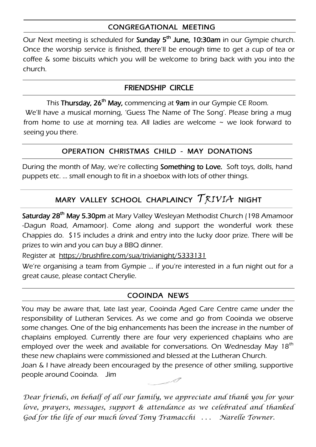### CONGREGATIONAL MEETING

Our Next meeting is scheduled for **Sunday 5<sup>th</sup> June, 10:30am** in our Gympie church. Once the worship service is finished, there'll be enough time to get a cup of tea or coffee & some biscuits which you will be welcome to bring back with you into the church.

#### FRIENDSHIP CIRCLE

This **Thursday, 26<sup>th</sup> May,** commencing at **9am** in our Gympie CE Room. We'll have a musical morning, 'Guess The Name of The Song'. Please bring a mug from home to use at morning tea. All ladies are welcome  $\sim$  we look forward to seeing you there.

#### OPERATION CHRISTMAS CHILD - MAY DONATIONS

During the month of May, we're collecting Something to Love. Soft toys, dolls, hand puppets etc. … small enough to fit in a shoebox with lots of other things.

# MARY VALLEY SCHOOL CHAPLAINCY  $\mathcal{T}$  $\mathcal{R}$ IVI $\mathcal{A}$  Night

**Saturday 28<sup>th</sup> May 5.30pm** at Mary Valley Wesleyan Methodist Church (198 Amamoor -Dagun Road, Amamoor). Come along and support the wonderful work these Chappies do. \$15 includes a drink and entry into the lucky door prize. There will be prizes to win and you can buy a BBQ dinner.

Register at https://brushfire.com/sua/trivianight/5333131

We're organising a team from Gympie … if you're interested in a fun night out for a great cause, please contact Cherylie.

#### COOINDA NEWS

You may be aware that, late last year, Cooinda Aged Care Centre came under the responsibility of Lutheran Services. As we come and go from Cooinda we observe some changes. One of the big enhancements has been the increase in the number of chaplains employed. Currently there are four very experienced chaplains who are employed over the week and available for conversations. On Wednesday May  $18<sup>th</sup>$ these new chaplains were commissioned and blessed at the Lutheran Church.

Joan & I have already been encouraged by the presence of other smiling, supportive people around Cooinda. Jim

*Dear friends, on behalf of all our family, we appreciate and thank you for your love, prayers, messages, support & attendance as we celebrated and thanked God for the life of our much loved Tony Tramacchi . . . Narelle Towner.*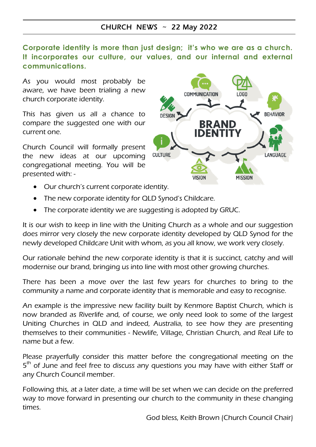#### CHURCH NEWS ~ 22 May 2022

**Corporate identity is more than just design; it's who we are as a church. It incorporates our culture, our values, and our internal and external communications.**

As you would most probably be aware, we have been trialing a new church corporate identity.

This has given us all a chance to compare the suggested one with our current one.

Church Council will formally present the new ideas at our upcoming congregational meeting. You will be presented with: -



- Our church's current corporate identity.
- The new corporate identity for QLD Synod's Childcare.
- The corporate identity we are suggesting is adopted by GRUC.

It is our wish to keep in line with the Uniting Church as a whole and our suggestion does mirror very closely the new corporate identity developed by QLD Synod for the newly developed Childcare Unit with whom, as you all know, we work very closely.

Our rationale behind the new corporate identity is that it is succinct, catchy and will modernise our brand, bringing us into line with most other growing churches.

There has been a move over the last few years for churches to bring to the community a name and corporate identity that is memorable and easy to recognise.

An example is the impressive new facility built by Kenmore Baptist Church, which is now branded as Riverlife and, of course, we only need look to some of the largest Uniting Churches in QLD and indeed, Australia, to see how they are presenting themselves to their communities - Newlife, Village, Christian Church, and Real Life to name but a few.

Please prayerfully consider this matter before the congregational meeting on the 5<sup>th</sup> of June and feel free to discuss any questions you may have with either Staff or any Church Council member.

Following this, at a later date, a time will be set when we can decide on the preferred way to move forward in presenting our church to the community in these changing times.